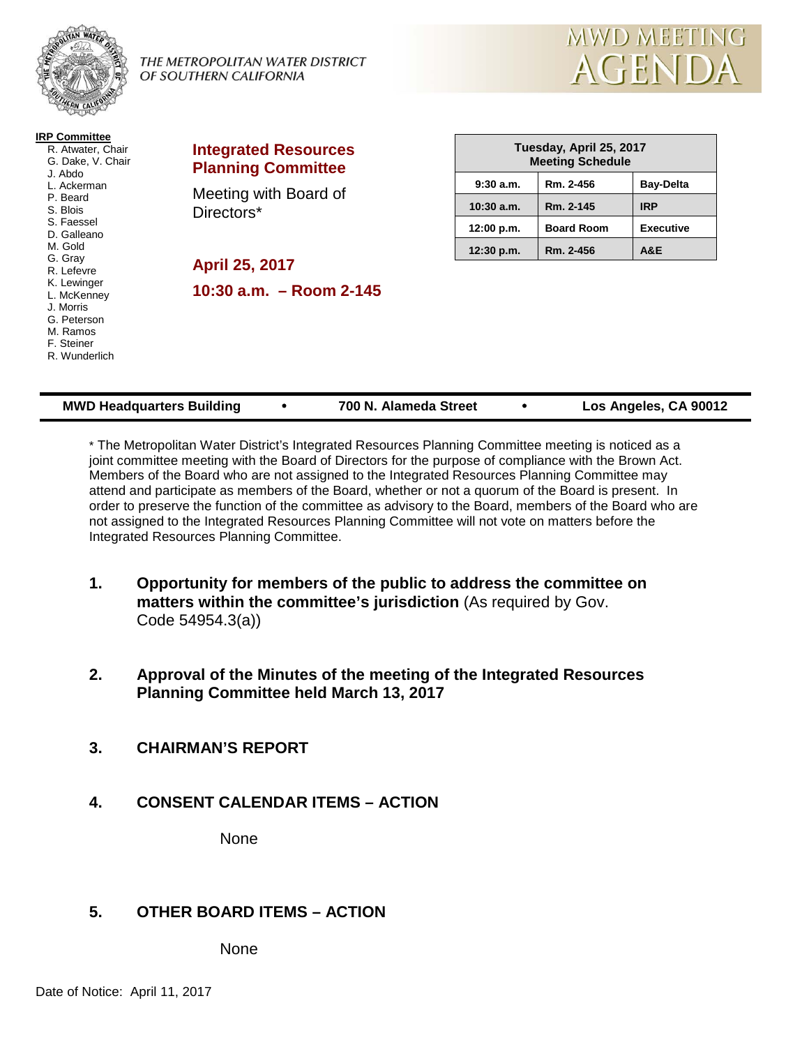

THE METROPOLITAN WATER DISTRICT OF SOUTHERN CALIFORNIA



| <b>IRP Committee</b><br>R. Atwater, Chair<br>G. Dake, V. Chair<br>J. Abdo<br>L. Ackerman<br>P. Beard<br>S. Blois<br>S. Faessel<br>D. Galleano<br>M. Gold<br>G. Gray<br>R. Lefevre<br>K. Lewinger<br>L. McKenney<br>J. Morris<br>G. Peterson<br>M. Ramos<br>F. Steiner<br>R. Wunderlich | <b>Integrated Resources</b><br><b>Planning Committee</b>                           |              | Tuesday, April 25, 2017<br><b>Meeting Schedule</b> |                  |  |
|----------------------------------------------------------------------------------------------------------------------------------------------------------------------------------------------------------------------------------------------------------------------------------------|------------------------------------------------------------------------------------|--------------|----------------------------------------------------|------------------|--|
|                                                                                                                                                                                                                                                                                        | Meeting with Board of<br>Directors*<br>April 25, 2017<br>10:30 $a.m. - Room 2-145$ | 9:30a.m.     | Rm. 2-456                                          | <b>Bay-Delta</b> |  |
|                                                                                                                                                                                                                                                                                        |                                                                                    | $10:30$ a.m. | Rm. 2-145                                          | <b>IRP</b>       |  |
|                                                                                                                                                                                                                                                                                        |                                                                                    | 12:00 p.m.   | <b>Board Room</b>                                  | <b>Executive</b> |  |
|                                                                                                                                                                                                                                                                                        |                                                                                    | 12:30 p.m.   | Rm. 2-456                                          | A&E              |  |

| <b>MWD Headquarters Building</b> |  | 700 N. Alameda Street |  | Los Angeles, CA 90012 |
|----------------------------------|--|-----------------------|--|-----------------------|
|----------------------------------|--|-----------------------|--|-----------------------|

\* The Metropolitan Water District's Integrated Resources Planning Committee meeting is noticed as a joint committee meeting with the Board of Directors for the purpose of compliance with the Brown Act. Members of the Board who are not assigned to the Integrated Resources Planning Committee may attend and participate as members of the Board, whether or not a quorum of the Board is present. In order to preserve the function of the committee as advisory to the Board, members of the Board who are not assigned to the Integrated Resources Planning Committee will not vote on matters before the Integrated Resources Planning Committee.

- **1. Opportunity for members of the public to address the committee on matters within the committee's jurisdiction** (As required by Gov. Code 54954.3(a))
- **2. Approval of the Minutes of the meeting of the Integrated Resources Planning Committee held March 13, 2017**
- **3. CHAIRMAN'S REPORT**
- **4. CONSENT CALENDAR ITEMS – ACTION**

None

# **5. OTHER BOARD ITEMS – ACTION**

None